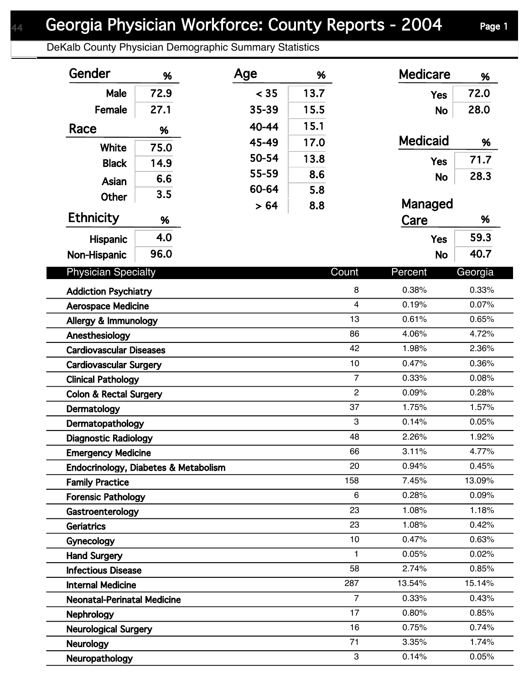DeKalb County Physician Demographic Summary Statistics

| Gender                                                   | %    | Age   | %    |                | <b>Medicare</b> | %              |
|----------------------------------------------------------|------|-------|------|----------------|-----------------|----------------|
| Male                                                     | 72.9 | < 35  | 13.7 |                | <b>Yes</b>      | 72.0           |
| Female                                                   | 27.1 | 35-39 | 15.5 |                | <b>No</b>       | 28.0           |
| Race                                                     | %    | 40-44 | 15.1 |                |                 |                |
|                                                          |      | 45-49 | 17.0 |                | <b>Medicaid</b> | %              |
| <b>White</b>                                             | 75.0 | 50-54 | 13.8 |                |                 | 71.7           |
| <b>Black</b>                                             | 14.9 | 55-59 | 8.6  |                | <b>Yes</b>      | 28.3           |
| Asian                                                    | 6.6  | 60-64 | 5.8  |                | <b>No</b>       |                |
| Other                                                    | 3.5  | > 64  | 8.8  |                | Managed         |                |
| <b>Ethnicity</b>                                         | %    |       |      |                | Care            | %              |
| <b>Hispanic</b>                                          | 4.0  |       |      |                | <b>Yes</b>      | 59.3           |
| Non-Hispanic                                             | 96.0 |       |      |                | <b>No</b>       | 40.7           |
| <b>Physician Specialty</b>                               |      |       |      | Count          | Percent         | Georgia        |
|                                                          |      |       |      | 8              | 0.38%           | 0.33%          |
| <b>Addiction Psychiatry</b><br><b>Aerospace Medicine</b> |      |       |      | $\overline{4}$ | 0.19%           | 0.07%          |
| Allergy & Immunology                                     |      |       |      | 13             | 0.61%           | 0.65%          |
| Anesthesiology                                           |      |       |      | 86             | 4.06%           | 4.72%          |
| <b>Cardiovascular Diseases</b>                           |      |       |      | 42             | 1.98%           | 2.36%          |
| <b>Cardiovascular Surgery</b>                            |      |       |      | 10             | 0.47%           | 0.36%          |
| <b>Clinical Pathology</b>                                |      |       |      | $\overline{7}$ | 0.33%           | 0.08%          |
| <b>Colon &amp; Rectal Surgery</b>                        |      |       |      | $\overline{2}$ | 0.09%           | 0.28%          |
| Dermatology                                              |      |       |      | 37             | 1.75%           | 1.57%          |
| Dermatopathology                                         |      |       |      | 3              | 0.14%           | 0.05%          |
| <b>Diagnostic Radiology</b>                              |      |       |      | 48             | 2.26%           | 1.92%          |
| <b>Emergency Medicine</b>                                |      |       |      | 66             | 3.11%           | 4.77%          |
| Endocrinology, Diabetes & Metabolism                     |      |       |      | 20             | 0.94%           | 0.45%          |
| <b>Family Practice</b>                                   |      |       |      | 158            | 7.45%           | 13.09%         |
| <b>Forensic Pathology</b>                                |      |       |      | 6              | 0.28%           | 0.09%          |
| Gastroenterology                                         |      |       |      | 23             | 1.08%           | 1.18%          |
| <b>Geriatrics</b>                                        |      |       |      | 23             | 1.08%           | 0.42%          |
| Gynecology                                               |      |       |      | 10             | 0.47%           | 0.63%          |
| <b>Hand Surgery</b>                                      |      |       |      | 1              | 0.05%           | 0.02%          |
| <b>Infectious Disease</b>                                |      |       |      | 58             | 2.74%           | 0.85%          |
| <b>Internal Medicine</b>                                 |      |       |      | 287            | 13.54%          | 15.14%         |
| <b>Neonatal-Perinatal Medicine</b>                       |      |       |      | $\overline{7}$ | 0.33%           | 0.43%          |
| Nephrology                                               |      |       |      | 17<br>16       | 0.80%<br>0.75%  | 0.85%<br>0.74% |
| <b>Neurological Surgery</b>                              |      |       |      | 71             | 3.35%           | 1.74%          |
| <b>Neurology</b>                                         |      |       |      | 3              | 0.14%           | 0.05%          |
| Neuropathology                                           |      |       |      |                |                 |                |